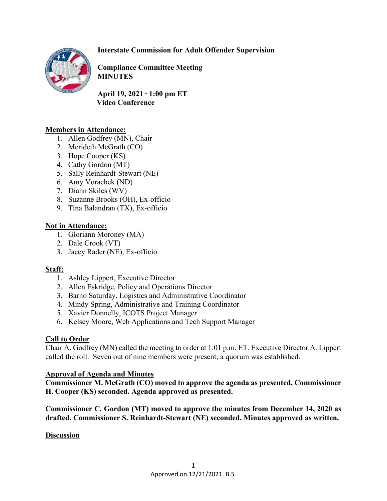# **Interstate Commission for Adult Offender Supervision**



**Compliance Committee Meeting MINUTES**

**April 19, 2021 ∙ 1:00 pm ET Video Conference** 

## **Members in Attendance:**

- 1. Allen Godfrey (MN), Chair
- 2. Merideth McGrath (CO)
- 3. Hope Cooper (KS)
- 4. Cathy Gordon (MT)
- 5. Sally Reinhardt-Stewart (NE)
- 6. Amy Vorachek (ND)
- 7. Diann Skiles (WV)
- 8. Suzanne Brooks (OH), Ex-officio
- 9. Tina Balandran (TX), Ex-officio

### **Not in Attendance:**

- 1. Gloriann Moroney (MA)
- 2. Dale Crook (VT)
- 3. Jacey Rader (NE), Ex-officio

### **Staff:**

- 1. Ashley Lippert, Executive Director
- 2. Allen Eskridge, Policy and Operations Director
- 3. Barno Saturday, Logistics and Administrative Coordinator
- 4. Mindy Spring, Administrative and Training Coordinator
- 5. Xavier Donnelly, ICOTS Project Manager
- 6. Kelsey Moore, Web Applications and Tech Support Manager

# **Call to Order**

Chair A. Godfrey (MN) called the meeting to order at 1:01 p.m. ET. Executive Director A. Lippert called the roll. Seven out of nine members were present; a quorum was established.

### **Approval of Agenda and Minutes**

**Commissioner M. McGrath (CO) moved to approve the agenda as presented. Commissioner H. Cooper (KS) seconded. Agenda approved as presented.** 

**Commissioner C. Gordon (MT) moved to approve the minutes from December 14, 2020 as drafted. Commissioner S. Reinhardt-Stewart (NE) seconded. Minutes approved as written.**

### **Discussion**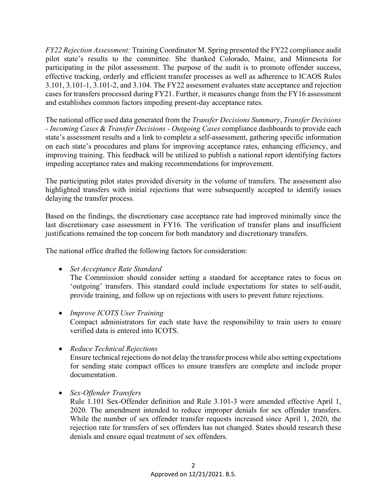*FY22 Rejection Assessment:* Training Coordinator M. Spring presented the FY22 compliance audit pilot state's results to the committee. She thanked Colorado, Maine, and Minnesota for participating in the pilot assessment. The purpose of the audit is to promote offender success, effective tracking, orderly and efficient transfer processes as well as adherence to ICAOS Rules 3.101, 3.101-1, 3.101-2, and 3.104. The FY22 assessment evaluates state acceptance and rejection cases for transfers processed during FY21. Further, it measures change from the FY16 assessment and establishes common factors impeding present-day acceptance rates.

The national office used data generated from the *Transfer Decisions Summary*, *Transfer Decisions - Incoming Cases* & *Transfer Decisions - Outgoing Cases* compliance dashboards to provide each state's assessment results and a link to complete a self-assessment, gathering specific information on each state's procedures and plans for improving acceptance rates, enhancing efficiency, and improving training. This feedback will be utilized to publish a national report identifying factors impeding acceptance rates and making recommendations for improvement.

The participating pilot states provided diversity in the volume of transfers. The assessment also highlighted transfers with initial rejections that were subsequently accepted to identify issues delaying the transfer process.

Based on the findings, the discretionary case acceptance rate had improved minimally since the last discretionary case assessment in FY16. The verification of transfer plans and insufficient justifications remained the top concern for both mandatory and discretionary transfers.

The national office drafted the following factors for consideration:

• *Set Acceptance Rate Standard*

The Commission should consider setting a standard for acceptance rates to focus on 'outgoing' transfers. This standard could include expectations for states to self-audit, provide training, and follow up on rejections with users to prevent future rejections.

• *Improve ICOTS User Training*

Compact administrators for each state have the responsibility to train users to ensure verified data is entered into ICOTS.

• *Reduce Technical Rejections* 

Ensure technical rejections do not delay the transfer process while also setting expectations for sending state compact offices to ensure transfers are complete and include proper documentation.

• *Sex-Offender Transfers* 

Rule 1.101 Sex-Offender definition and Rule 3.101-3 were amended effective April 1, 2020. The amendment intended to reduce improper denials for sex offender transfers. While the number of sex offender transfer requests increased since April 1, 2020, the rejection rate for transfers of sex offenders has not changed. States should research these denials and ensure equal treatment of sex offenders.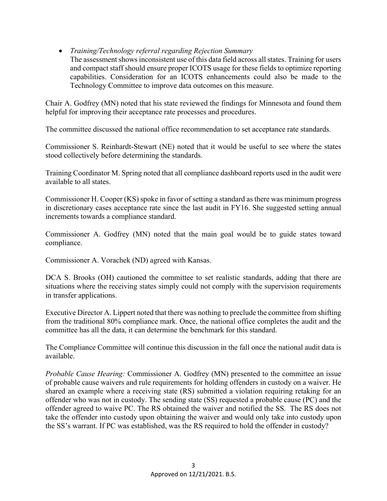• *Training/Technology referral regarding Rejection Summary* 

The assessment shows inconsistent use of this data field across all states. Training for users and compact staff should ensure proper ICOTS usage for these fields to optimize reporting capabilities. Consideration for an ICOTS enhancements could also be made to the Technology Committee to improve data outcomes on this measure.

Chair A. Godfrey (MN) noted that his state reviewed the findings for Minnesota and found them helpful for improving their acceptance rate processes and procedures.

The committee discussed the national office recommendation to set acceptance rate standards.

Commissioner S. Reinhardt-Stewart (NE) noted that it would be useful to see where the states stood collectively before determining the standards.

Training Coordinator M. Spring noted that all compliance dashboard reports used in the audit were available to all states.

Commissioner H. Cooper (KS) spoke in favor of setting a standard as there was minimum progress in discretionary cases acceptance rate since the last audit in FY16. She suggested setting annual increments towards a compliance standard.

Commissioner A. Godfrey (MN) noted that the main goal would be to guide states toward compliance.

Commissioner A. Vorachek (ND) agreed with Kansas.

DCA S. Brooks (OH) cautioned the committee to set realistic standards, adding that there are situations where the receiving states simply could not comply with the supervision requirements in transfer applications.

Executive Director A. Lippert noted that there was nothing to preclude the committee from shifting from the traditional 80% compliance mark. Once, the national office completes the audit and the committee has all the data, it can determine the benchmark for this standard.

The Compliance Committee will continue this discussion in the fall once the national audit data is available.

*Probable Cause Hearing:* Commissioner A. Godfrey (MN) presented to the committee an issue of probable cause waivers and rule requirements for holding offenders in custody on a waiver. He shared an example where a receiving state (RS) submitted a violation requiring retaking for an offender who was not in custody. The sending state (SS) requested a probable cause (PC) and the offender agreed to waive PC. The RS obtained the waiver and notified the SS. The RS does not take the offender into custody upon obtaining the waiver and would only take into custody upon the SS's warrant. If PC was established, was the RS required to hold the offender in custody?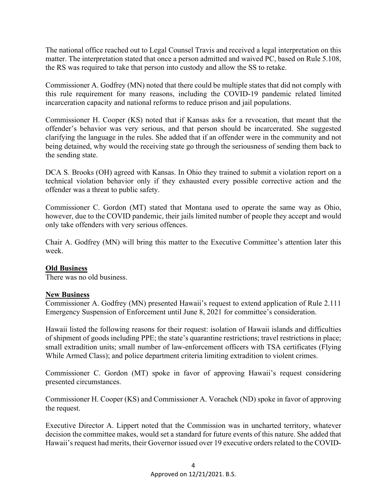The national office reached out to Legal Counsel Travis and received a legal interpretation on this matter. The interpretation stated that once a person admitted and waived PC, based on Rule 5.108, the RS was required to take that person into custody and allow the SS to retake.

Commissioner A. Godfrey (MN) noted that there could be multiple states that did not comply with this rule requirement for many reasons, including the COVID-19 pandemic related limited incarceration capacity and national reforms to reduce prison and jail populations.

Commissioner H. Cooper (KS) noted that if Kansas asks for a revocation, that meant that the offender's behavior was very serious, and that person should be incarcerated. She suggested clarifying the language in the rules. She added that if an offender were in the community and not being detained, why would the receiving state go through the seriousness of sending them back to the sending state.

DCA S. Brooks (OH) agreed with Kansas. In Ohio they trained to submit a violation report on a technical violation behavior only if they exhausted every possible corrective action and the offender was a threat to public safety.

Commissioner C. Gordon (MT) stated that Montana used to operate the same way as Ohio, however, due to the COVID pandemic, their jails limited number of people they accept and would only take offenders with very serious offences.

Chair A. Godfrey (MN) will bring this matter to the Executive Committee's attention later this week.

#### **Old Business**

There was no old business.

#### **New Business**

Commissioner A. Godfrey (MN) presented Hawaii's request to extend application of Rule 2.111 Emergency Suspension of Enforcement until June 8, 2021 for committee's consideration.

Hawaii listed the following reasons for their request: isolation of Hawaii islands and difficulties of shipment of goods including PPE; the state's quarantine restrictions; travel restrictions in place; small extradition units; small number of law-enforcement officers with TSA certificates (Flying While Armed Class); and police department criteria limiting extradition to violent crimes.

Commissioner C. Gordon (MT) spoke in favor of approving Hawaii's request considering presented circumstances.

Commissioner H. Cooper (KS) and Commissioner A. Vorachek (ND) spoke in favor of approving the request.

Executive Director A. Lippert noted that the Commission was in uncharted territory, whatever decision the committee makes, would set a standard for future events of this nature. She added that Hawaii's request had merits, their Governor issued over 19 executive orders related to the COVID-